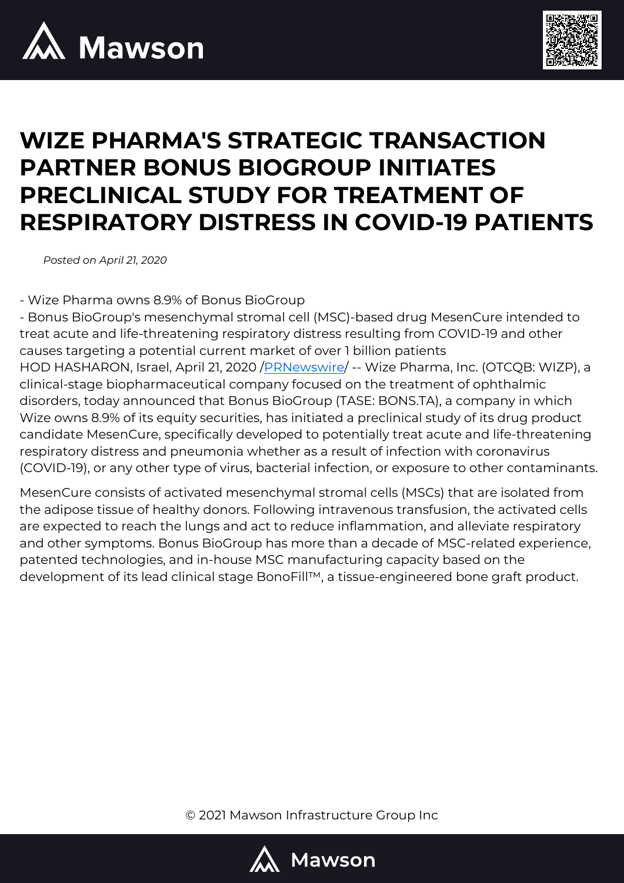



## **WIZE PHARMA'S STRATEGIC TRANSACTION PARTNER BONUS BIOGROUP INITIATES PRECLINICAL STUDY FOR TREATMENT OF RESPIRATORY DISTRESS IN COVID-19 PATIENTS**

*Posted on April 21, 2020*

- Wize Pharma owns 8.9% of Bonus BioGroup

- Bonus BioGroup's mesenchymal stromal cell (MSC)-based drug MesenCure intended to treat acute and life-threatening respiratory distress resulting from COVID-19 and other causes targeting a potential current market of over 1 billion patients HOD HASHARON, Israel, April 21, 2020 [/PRNewswire/](http://www.prnewswire.com/) -- Wize Pharma, Inc. (OTCQB: WIZP), a clinical-stage biopharmaceutical company focused on the treatment of ophthalmic disorders, today announced that Bonus BioGroup (TASE: BONS.TA), a company in which Wize owns 8.9% of its equity securities, has initiated a preclinical study of its drug product candidate MesenCure, specifically developed to potentially treat acute and life-threatening respiratory distress and pneumonia whether as a result of infection with coronavirus (COVID-19), or any other type of virus, bacterial infection, or exposure to other contaminants.

MesenCure consists of activated mesenchymal stromal cells (MSCs) that are isolated from the adipose tissue of healthy donors. Following intravenous transfusion, the activated cells are expected to reach the lungs and act to reduce inflammation, and alleviate respiratory and other symptoms. Bonus BioGroup has more than a decade of MSC-related experience, patented technologies, and in-house MSC manufacturing capacity based on the development of its lead clinical stage BonoFill™, a tissue-engineered bone graft product.

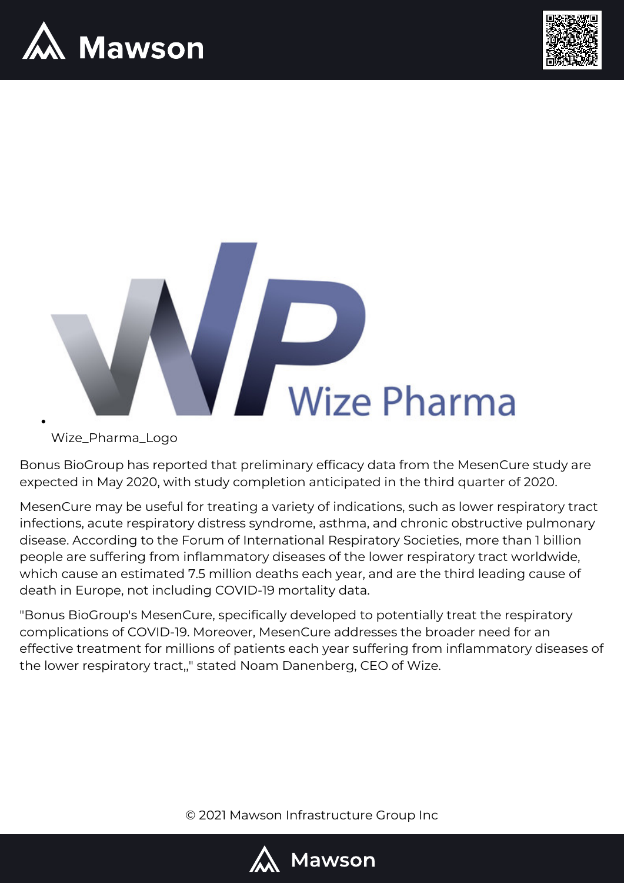





Wize\_Pharma\_Logo

Bonus BioGroup has reported that preliminary efficacy data from the MesenCure study are expected in May 2020, with study completion anticipated in the third quarter of 2020.

MesenCure may be useful for treating a variety of indications, such as lower respiratory tract infections, acute respiratory distress syndrome, asthma, and chronic obstructive pulmonary disease. According to the Forum of International Respiratory Societies, more than 1 billion people are suffering from inflammatory diseases of the lower respiratory tract worldwide, which cause an estimated 7.5 million deaths each year, and are the third leading cause of death in Europe, not including COVID-19 mortality data.

"Bonus BioGroup's MesenCure, specifically developed to potentially treat the respiratory complications of COVID-19. Moreover, MesenCure addresses the broader need for an effective treatment for millions of patients each year suffering from inflammatory diseases of the lower respiratory tract,," stated Noam Danenberg, CEO of Wize.

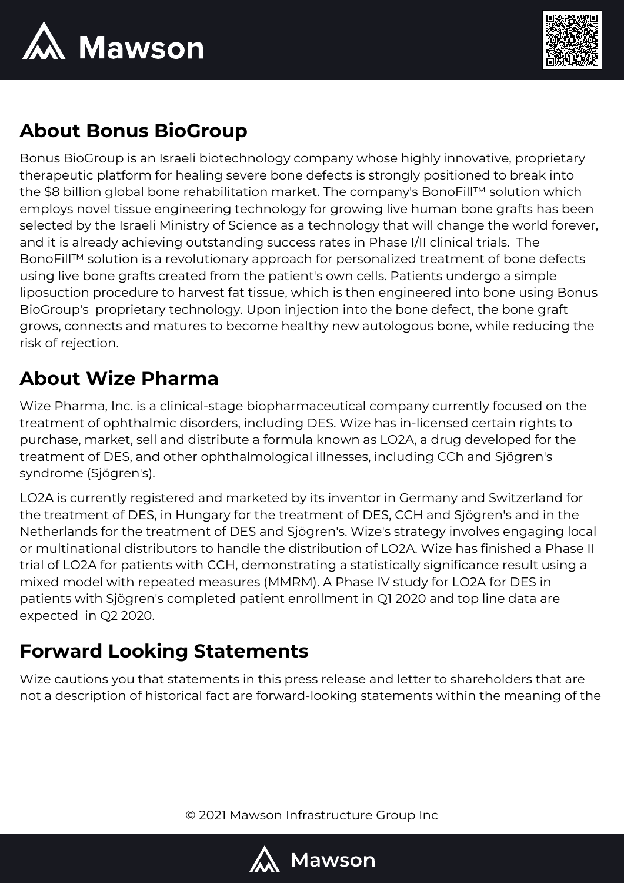



## **About Bonus BioGroup**

Bonus BioGroup is an Israeli biotechnology company whose highly innovative, proprietary therapeutic platform for healing severe bone defects is strongly positioned to break into the \$8 billion global bone rehabilitation market. The company's BonoFill™ solution which employs novel tissue engineering technology for growing live human bone grafts has been selected by the Israeli Ministry of Science as a technology that will change the world forever, and it is already achieving outstanding success rates in Phase I/II clinical trials. The BonoFill™ solution is a revolutionary approach for personalized treatment of bone defects using live bone grafts created from the patient's own cells. Patients undergo a simple liposuction procedure to harvest fat tissue, which is then engineered into bone using Bonus BioGroup's proprietary technology. Upon injection into the bone defect, the bone graft grows, connects and matures to become healthy new autologous bone, while reducing the risk of rejection.

## **About Wize Pharma**

Wize Pharma, Inc. is a clinical-stage biopharmaceutical company currently focused on the treatment of ophthalmic disorders, including DES. Wize has in-licensed certain rights to purchase, market, sell and distribute a formula known as LO2A, a drug developed for the treatment of DES, and other ophthalmological illnesses, including CCh and Sjögren's syndrome (Sjögren's).

LO2A is currently registered and marketed by its inventor in Germany and Switzerland for the treatment of DES, in Hungary for the treatment of DES, CCH and Sjögren's and in the Netherlands for the treatment of DES and Sjögren's. Wize's strategy involves engaging local or multinational distributors to handle the distribution of LO2A. Wize has finished a Phase II trial of LO2A for patients with CCH, demonstrating a statistically significance result using a mixed model with repeated measures (MMRM). A Phase IV study for LO2A for DES in patients with Sjögren's completed patient enrollment in Q1 2020 and top line data are expected in Q2 2020.

## **Forward Looking Statements**

Wize cautions you that statements in this press release and letter to shareholders that are not a description of historical fact are forward-looking statements within the meaning of the

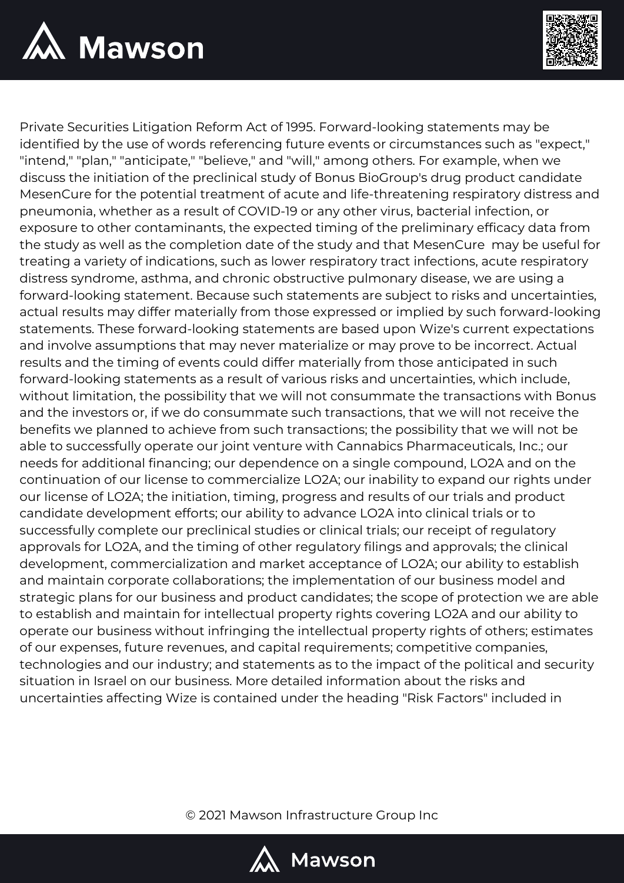



Private Securities Litigation Reform Act of 1995. Forward-looking statements may be identified by the use of words referencing future events or circumstances such as "expect," "intend," "plan," "anticipate," "believe," and "will," among others. For example, when we discuss the initiation of the preclinical study of Bonus BioGroup's drug product candidate MesenCure for the potential treatment of acute and life-threatening respiratory distress and pneumonia, whether as a result of COVID-19 or any other virus, bacterial infection, or exposure to other contaminants, the expected timing of the preliminary efficacy data from the study as well as the completion date of the study and that MesenCure may be useful for treating a variety of indications, such as lower respiratory tract infections, acute respiratory distress syndrome, asthma, and chronic obstructive pulmonary disease, we are using a forward-looking statement. Because such statements are subject to risks and uncertainties, actual results may differ materially from those expressed or implied by such forward-looking statements. These forward-looking statements are based upon Wize's current expectations and involve assumptions that may never materialize or may prove to be incorrect. Actual results and the timing of events could differ materially from those anticipated in such forward-looking statements as a result of various risks and uncertainties, which include, without limitation, the possibility that we will not consummate the transactions with Bonus and the investors or, if we do consummate such transactions, that we will not receive the benefits we planned to achieve from such transactions; the possibility that we will not be able to successfully operate our joint venture with Cannabics Pharmaceuticals, Inc.; our needs for additional financing; our dependence on a single compound, LO2A and on the continuation of our license to commercialize LO2A; our inability to expand our rights under our license of LO2A; the initiation, timing, progress and results of our trials and product candidate development efforts; our ability to advance LO2A into clinical trials or to successfully complete our preclinical studies or clinical trials; our receipt of regulatory approvals for LO2A, and the timing of other regulatory filings and approvals; the clinical development, commercialization and market acceptance of LO2A; our ability to establish and maintain corporate collaborations; the implementation of our business model and strategic plans for our business and product candidates; the scope of protection we are able to establish and maintain for intellectual property rights covering LO2A and our ability to operate our business without infringing the intellectual property rights of others; estimates of our expenses, future revenues, and capital requirements; competitive companies, technologies and our industry; and statements as to the impact of the political and security situation in Israel on our business. More detailed information about the risks and uncertainties affecting Wize is contained under the heading "Risk Factors" included in